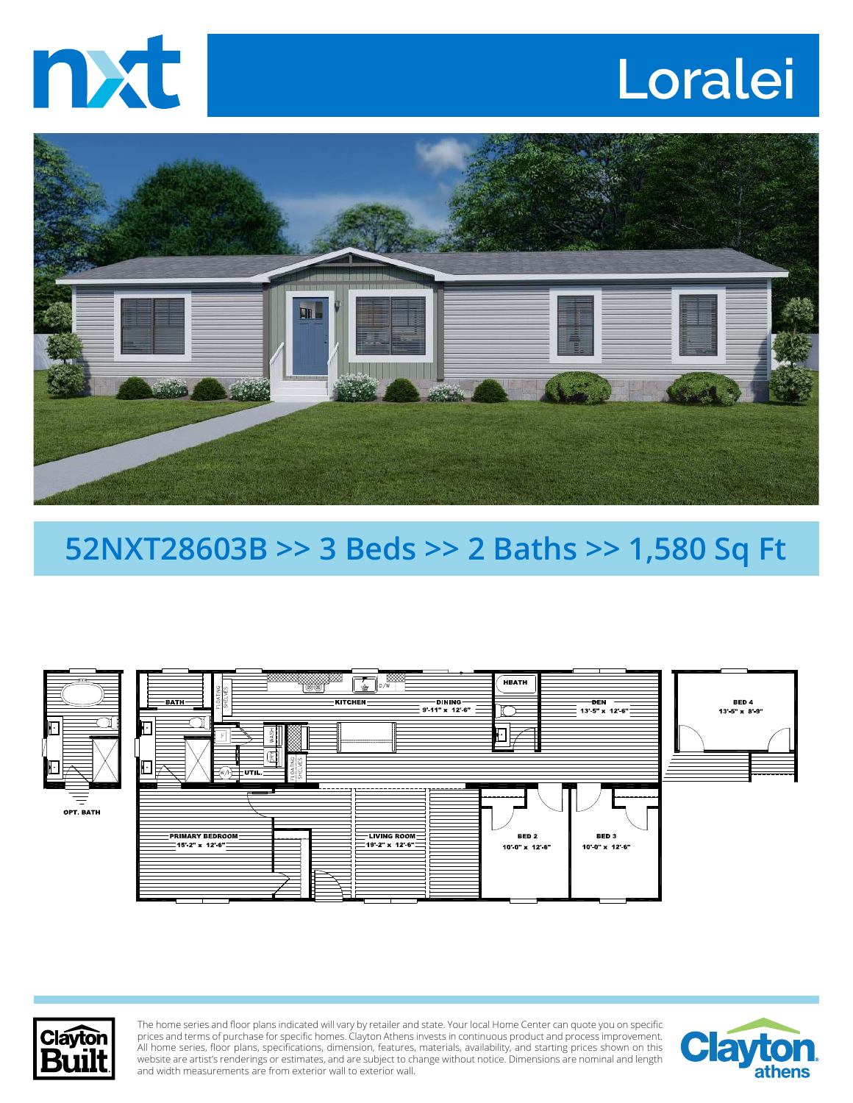

## **Loralei**



## **52NXT28603B >> 3 Beds >> 2 Baths >> 1,580 Sq Ft**





The home series and floor plans indicated will vary by retailer and state. Your local Home Center can quote you on specific prices and terms of purchase for specific homes. Clayton Athens invests in continuous product and process improvement. All home series, floor plans, specifications, dimension, features, materials, availability, and starting prices shown on this website are artist's renderings or estimates, and are subject to change without notice. Dimensions are nominal and length and width measurements are from exterior wall to exterior wall.